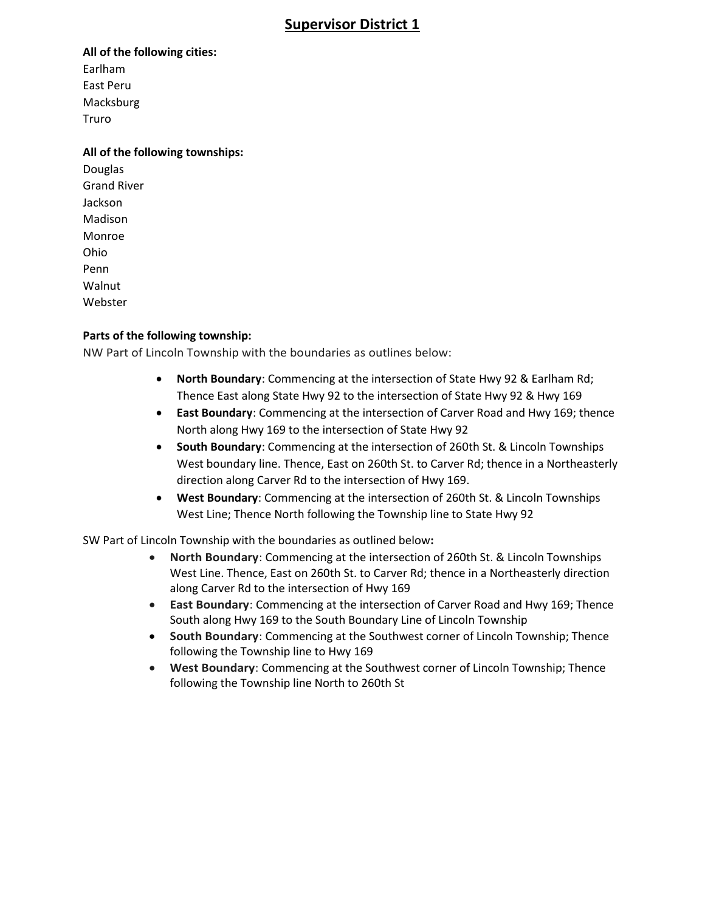# **Supervisor District 1**

#### **All of the following cities:**

Earlham East Peru Macksburg Truro

#### **All of the following townships:**

Douglas Grand River Jackson Madison Monroe Ohio Penn Walnut Webster

#### **Parts of the following township:**

NW Part of Lincoln Township with the boundaries as outlines below:

- **North Boundary**: Commencing at the intersection of State Hwy 92 & Earlham Rd; Thence East along State Hwy 92 to the intersection of State Hwy 92 & Hwy 169
- **East Boundary**: Commencing at the intersection of Carver Road and Hwy 169; thence North along Hwy 169 to the intersection of State Hwy 92
- **South Boundary**: Commencing at the intersection of 260th St. & Lincoln Townships West boundary line. Thence, East on 260th St. to Carver Rd; thence in a Northeasterly direction along Carver Rd to the intersection of Hwy 169.
- **West Boundary**: Commencing at the intersection of 260th St. & Lincoln Townships West Line; Thence North following the Township line to State Hwy 92

SW Part of Lincoln Township with the boundaries as outlined below**:**

- **North Boundary**: Commencing at the intersection of 260th St. & Lincoln Townships West Line. Thence, East on 260th St. to Carver Rd; thence in a Northeasterly direction along Carver Rd to the intersection of Hwy 169
- **East Boundary**: Commencing at the intersection of Carver Road and Hwy 169; Thence South along Hwy 169 to the South Boundary Line of Lincoln Township
- **South Boundary**: Commencing at the Southwest corner of Lincoln Township; Thence following the Township line to Hwy 169
- **West Boundary**: Commencing at the Southwest corner of Lincoln Township; Thence following the Township line North to 260th St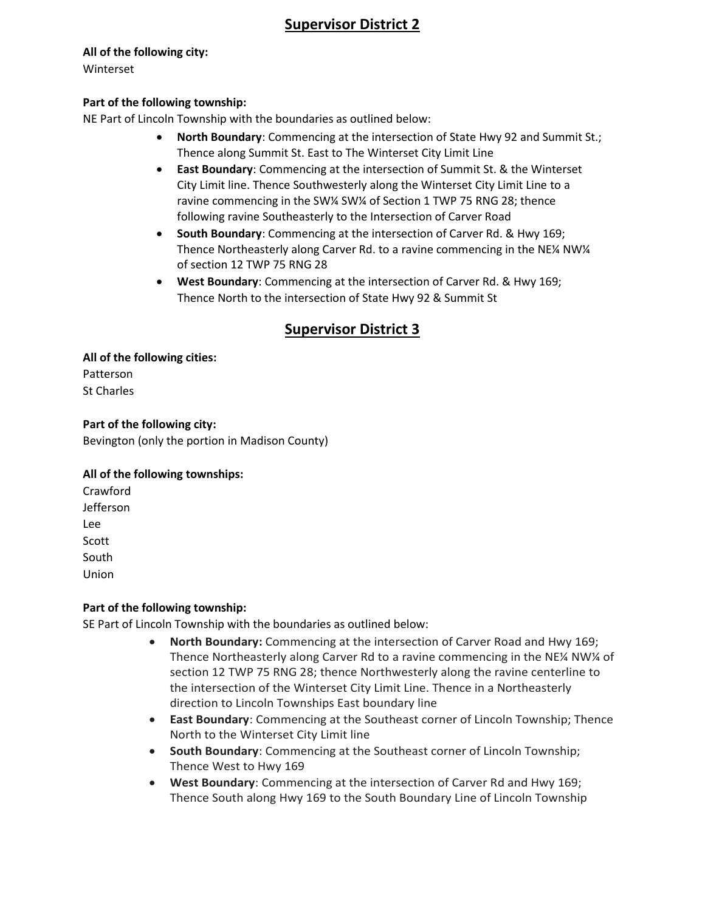# **Supervisor District 2**

#### **All of the following city:**

Winterset

#### **Part of the following township:**

NE Part of Lincoln Township with the boundaries as outlined below:

- **North Boundary**: Commencing at the intersection of State Hwy 92 and Summit St.; Thence along Summit St. East to The Winterset City Limit Line
- **East Boundary**: Commencing at the intersection of Summit St. & the Winterset City Limit line. Thence Southwesterly along the Winterset City Limit Line to a ravine commencing in the SW¼ SW¼ of Section 1 TWP 75 RNG 28; thence following ravine Southeasterly to the Intersection of Carver Road
- **South Boundary**: Commencing at the intersection of Carver Rd. & Hwy 169; Thence Northeasterly along Carver Rd. to a ravine commencing in the NE¼ NW¼ of section 12 TWP 75 RNG 28
- **West Boundary**: Commencing at the intersection of Carver Rd. & Hwy 169; Thence North to the intersection of State Hwy 92 & Summit St

# **Supervisor District 3**

**All of the following cities:** Patterson St Charles

## **Part of the following city:**

Bevington (only the portion in Madison County)

## **All of the following townships:**

Crawford Jefferson Lee Scott South Union

## **Part of the following township:**

SE Part of Lincoln Township with the boundaries as outlined below:

- **North Boundary:** Commencing at the intersection of Carver Road and Hwy 169; Thence Northeasterly along Carver Rd to a ravine commencing in the NE¼ NW¼ of section 12 TWP 75 RNG 28; thence Northwesterly along the ravine centerline to the intersection of the Winterset City Limit Line. Thence in a Northeasterly direction to Lincoln Townships East boundary line
- **East Boundary**: Commencing at the Southeast corner of Lincoln Township; Thence North to the Winterset City Limit line
- **South Boundary**: Commencing at the Southeast corner of Lincoln Township; Thence West to Hwy 169
- **West Boundary**: Commencing at the intersection of Carver Rd and Hwy 169; Thence South along Hwy 169 to the South Boundary Line of Lincoln Township